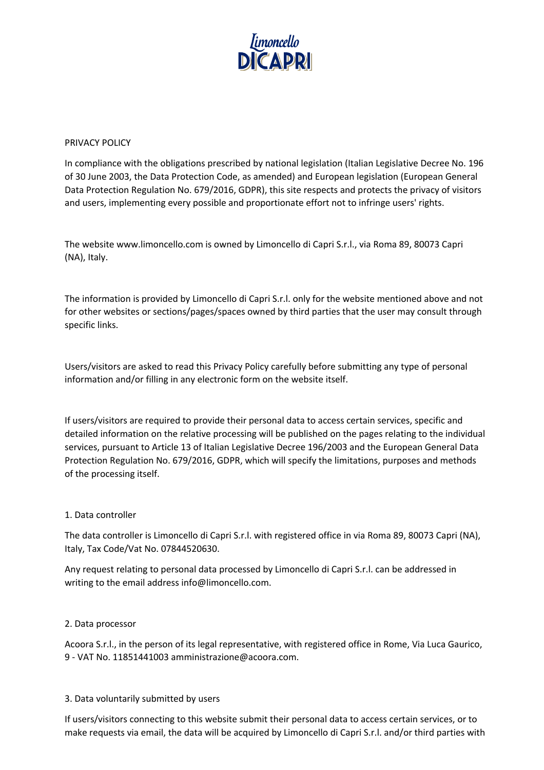

#### PRIVACY POLICY

In compliance with the obligations prescribed by national legislation (Italian Legislative Decree No. 196 of 30 June 2003, the Data Protection Code, as amended) and European legislation (European General Data Protection Regulation No. 679/2016, GDPR), this site respects and protects the privacy of visitors and users, implementing every possible and proportionate effort not to infringe users' rights.

The website www.limoncello.com is owned by Limoncello di Capri S.r.l., via Roma 89, 80073 Capri (NA), Italy.

The information is provided by Limoncello di Capri S.r.l. only for the website mentioned above and not for other websites or sections/pages/spaces owned by third parties that the user may consult through specific links.

Users/visitors are asked to read this Privacy Policy carefully before submitting any type of personal information and/or filling in any electronic form on the website itself.

If users/visitors are required to provide their personal data to access certain services, specific and detailed information on the relative processing will be published on the pages relating to the individual services, pursuant to Article 13 of Italian Legislative Decree 196/2003 and the European General Data Protection Regulation No. 679/2016, GDPR, which will specify the limitations, purposes and methods of the processing itself.

#### 1. Data controller

The data controller is Limoncello di Capri S.r.l. with registered office in via Roma 89, 80073 Capri (NA), Italy, Tax Code/Vat No. 07844520630.

Any request relating to personal data processed by Limoncello di Capri S.r.l. can be addressed in writing to the email address info@limoncello.com.

#### 2. Data processor

Acoora S.r.l., in the person of its legal representative, with registered office in Rome, Via Luca Gaurico, 9 - VAT No. 11851441003 amministrazione@acoora.com.

#### 3. Data voluntarily submitted by users

If users/visitors connecting to this website submit their personal data to access certain services, or to make requests via email, the data will be acquired by Limoncello di Capri S.r.l. and/or third parties with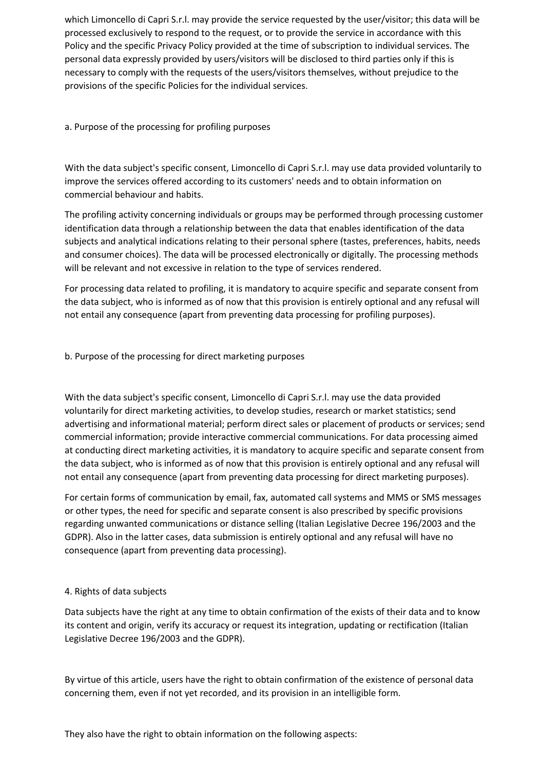which Limoncello di Capri S.r.l. may provide the service requested by the user/visitor; this data will be processed exclusively to respond to the request, or to provide the service in accordance with this Policy and the specific Privacy Policy provided at the time of subscription to individual services. The personal data expressly provided by users/visitors will be disclosed to third parties only if this is necessary to comply with the requests of the users/visitors themselves, without prejudice to the provisions of the specific Policies for the individual services.

## a. Purpose of the processing for profiling purposes

With the data subject's specific consent, Limoncello di Capri S.r.l. may use data provided voluntarily to improve the services offered according to its customers' needs and to obtain information on commercial behaviour and habits.

The profiling activity concerning individuals or groups may be performed through processing customer identification data through a relationship between the data that enables identification of the data subjects and analytical indications relating to their personal sphere (tastes, preferences, habits, needs and consumer choices). The data will be processed electronically or digitally. The processing methods will be relevant and not excessive in relation to the type of services rendered.

For processing data related to profiling, it is mandatory to acquire specific and separate consent from the data subject, who is informed as of now that this provision is entirely optional and any refusal will not entail any consequence (apart from preventing data processing for profiling purposes).

## b. Purpose of the processing for direct marketing purposes

With the data subject's specific consent, Limoncello di Capri S.r.l. may use the data provided voluntarily for direct marketing activities, to develop studies, research or market statistics; send advertising and informational material; perform direct sales or placement of products or services; send commercial information; provide interactive commercial communications. For data processing aimed at conducting direct marketing activities, it is mandatory to acquire specific and separate consent from the data subject, who is informed as of now that this provision is entirely optional and any refusal will not entail any consequence (apart from preventing data processing for direct marketing purposes).

For certain forms of communication by email, fax, automated call systems and MMS or SMS messages or other types, the need for specific and separate consent is also prescribed by specific provisions regarding unwanted communications or distance selling (Italian Legislative Decree 196/2003 and the GDPR). Also in the latter cases, data submission is entirely optional and any refusal will have no consequence (apart from preventing data processing).

#### 4. Rights of data subjects

Data subjects have the right at any time to obtain confirmation of the exists of their data and to know its content and origin, verify its accuracy or request its integration, updating or rectification (Italian Legislative Decree 196/2003 and the GDPR).

By virtue of this article, users have the right to obtain confirmation of the existence of personal data concerning them, even if not yet recorded, and its provision in an intelligible form.

They also have the right to obtain information on the following aspects: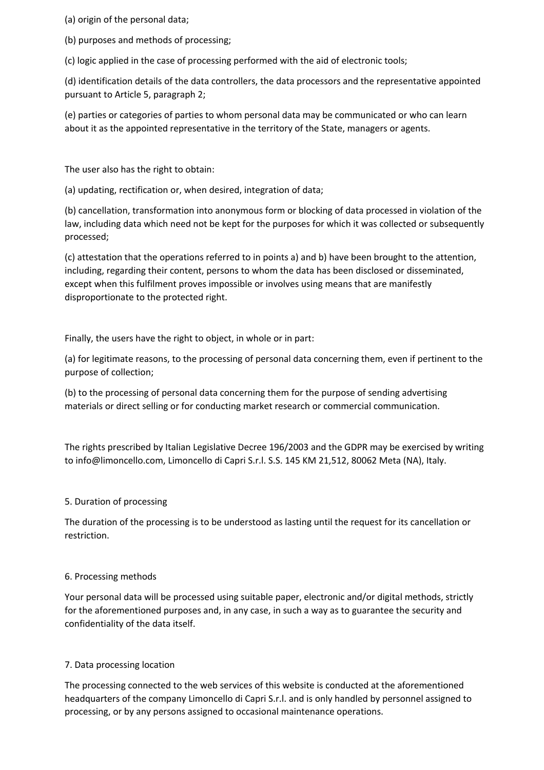(a) origin of the personal data;

(b) purposes and methods of processing;

(c) logic applied in the case of processing performed with the aid of electronic tools;

(d) identification details of the data controllers, the data processors and the representative appointed pursuant to Article 5, paragraph 2;

(e) parties or categories of parties to whom personal data may be communicated or who can learn about it as the appointed representative in the territory of the State, managers or agents.

The user also has the right to obtain:

(a) updating, rectification or, when desired, integration of data;

(b) cancellation, transformation into anonymous form or blocking of data processed in violation of the law, including data which need not be kept for the purposes for which it was collected or subsequently processed;

(c) attestation that the operations referred to in points a) and b) have been brought to the attention, including, regarding their content, persons to whom the data has been disclosed or disseminated, except when this fulfilment proves impossible or involves using means that are manifestly disproportionate to the protected right.

Finally, the users have the right to object, in whole or in part:

(a) for legitimate reasons, to the processing of personal data concerning them, even if pertinent to the purpose of collection;

(b) to the processing of personal data concerning them for the purpose of sending advertising materials or direct selling or for conducting market research or commercial communication.

The rights prescribed by Italian Legislative Decree 196/2003 and the GDPR may be exercised by writing to info@limoncello.com, Limoncello di Capri S.r.l. S.S. 145 KM 21,512, 80062 Meta (NA), Italy.

# 5. Duration of processing

The duration of the processing is to be understood as lasting until the request for its cancellation or restriction.

#### 6. Processing methods

Your personal data will be processed using suitable paper, electronic and/or digital methods, strictly for the aforementioned purposes and, in any case, in such a way as to guarantee the security and confidentiality of the data itself.

#### 7. Data processing location

The processing connected to the web services of this website is conducted at the aforementioned headquarters of the company Limoncello di Capri S.r.l. and is only handled by personnel assigned to processing, or by any persons assigned to occasional maintenance operations.